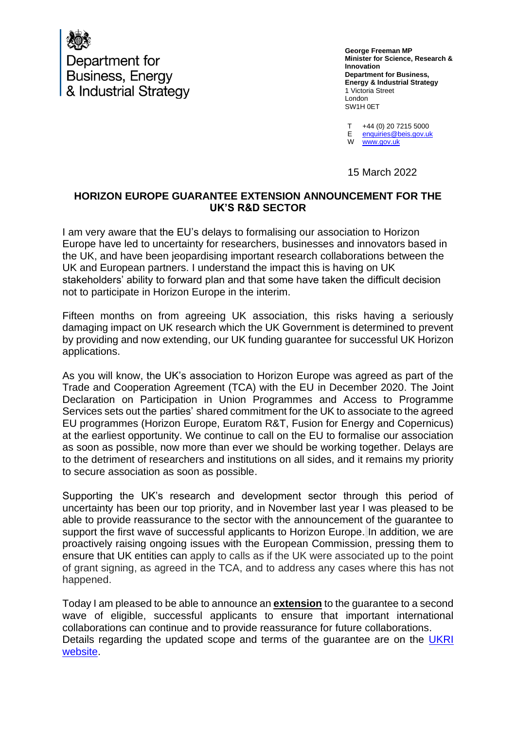

Department for Business, Energy & Industrial Strategy

**George Freeman MP Minister for Science, Research & Innovation Department for Business, Energy & Industrial Strategy** 1 Victoria Street London SW1H 0ET

T +44 (0) 20 7215 5000

E [enquiries@beis.gov.uk](mailto:enquiries@beis.gov.uk) 

W [www.gov.uk](http://www.gov.uk/)

15 March 2022

## **HORIZON EUROPE GUARANTEE EXTENSION ANNOUNCEMENT FOR THE UK'S R&D SECTOR**

I am very aware that the EU's delays to formalising our association to Horizon Europe have led to uncertainty for researchers, businesses and innovators based in the UK, and have been jeopardising important research collaborations between the UK and European partners. I understand the impact this is having on UK stakeholders' ability to forward plan and that some have taken the difficult decision not to participate in Horizon Europe in the interim.

Fifteen months on from agreeing UK association, this risks having a seriously damaging impact on UK research which the UK Government is determined to prevent by providing and now extending, our UK funding guarantee for successful UK Horizon applications.

As you will know, the UK's association to Horizon Europe was agreed as part of the Trade and Cooperation Agreement (TCA) with the EU in December 2020. The Joint Declaration on Participation in Union Programmes and Access to Programme Services sets out the parties' shared commitment for the UK to associate to the agreed EU programmes (Horizon Europe, Euratom R&T, Fusion for Energy and Copernicus) at the earliest opportunity. We continue to call on the EU to formalise our association as soon as possible, now more than ever we should be working together. Delays are to the detriment of researchers and institutions on all sides, and it remains my priority to secure association as soon as possible.

Supporting the UK's research and development sector through this period of uncertainty has been our top priority, and in November last year I was pleased to be able to provide reassurance to the sector with the announcement of the guarantee to support the first wave of successful applicants to Horizon Europe. In addition, we are proactively raising ongoing issues with the European Commission, pressing them to ensure that UK entities can apply to calls as if the UK were associated up to the point of grant signing, as agreed in the TCA, and to address any cases where this has not happened.

Today I am pleased to be able to announce an **extension** to the guarantee to a second wave of eligible, successful applicants to ensure that important international collaborations can continue and to provide reassurance for future collaborations. Details regarding the updated scope and terms of the guarantee are on the UKRI [website.](https://www.ukri.org/publications/horizon-europe-guarantee-notice-and-guidance/)